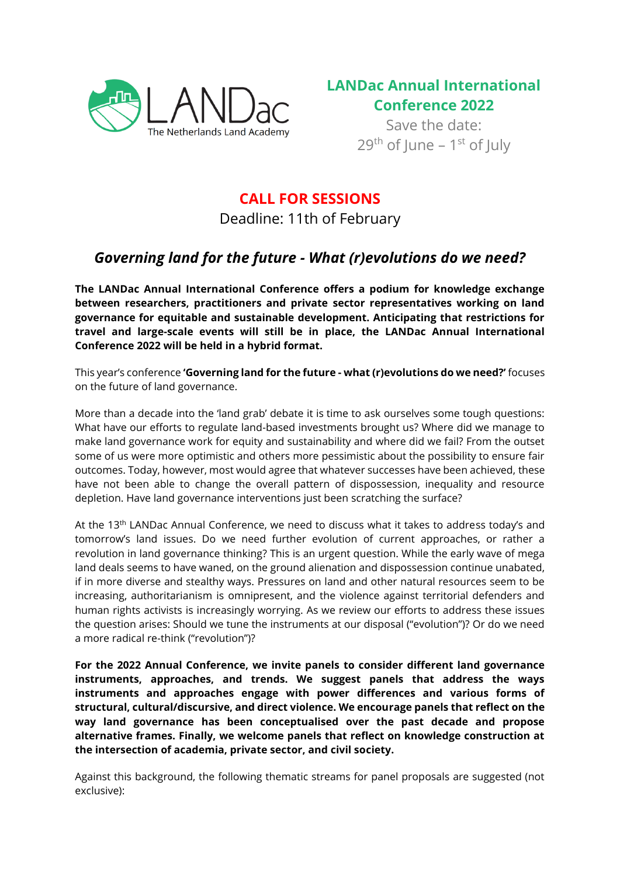



Save the date: 29<sup>th</sup> of June – 1<sup>st</sup> of July

## **CALL FOR SESSIONS**

Deadline: 11th of February

# *Governing land for the future - What (r)evolutions do we need?*

**The LANDac Annual International Conference offers a podium for knowledge exchange between researchers, practitioners and private sector representatives working on land governance for equitable and sustainable development. Anticipating that restrictions for travel and large-scale events will still be in place, the LANDac Annual International Conference 2022 will be held in a hybrid format.**

This year's conference **'Governing land for the future - what (r)evolutions do we need?'** focuses on the future of land governance.

More than a decade into the 'land grab' debate it is time to ask ourselves some tough questions: What have our efforts to regulate land-based investments brought us? Where did we manage to make land governance work for equity and sustainability and where did we fail? From the outset some of us were more optimistic and others more pessimistic about the possibility to ensure fair outcomes. Today, however, most would agree that whatever successes have been achieved, these have not been able to change the overall pattern of dispossession, inequality and resource depletion. Have land governance interventions just been scratching the surface?

At the 13<sup>th</sup> LANDac Annual Conference, we need to discuss what it takes to address today's and tomorrow's land issues. Do we need further evolution of current approaches, or rather a revolution in land governance thinking? This is an urgent question. While the early wave of mega land deals seems to have waned, on the ground alienation and dispossession continue unabated, if in more diverse and stealthy ways. Pressures on land and other natural resources seem to be increasing, authoritarianism is omnipresent, and the violence against territorial defenders and human rights activists is increasingly worrying. As we review our efforts to address these issues the question arises: Should we tune the instruments at our disposal ("evolution")? Or do we need a more radical re-think ("revolution")?

**For the 2022 Annual Conference, we invite panels to consider different land governance instruments, approaches, and trends. We suggest panels that address the ways instruments and approaches engage with power differences and various forms of structural, cultural/discursive, and direct violence. We encourage panels that reflect on the way land governance has been conceptualised over the past decade and propose alternative frames. Finally, we welcome panels that reflect on knowledge construction at the intersection of academia, private sector, and civil society.**

Against this background, the following thematic streams for panel proposals are suggested (not exclusive):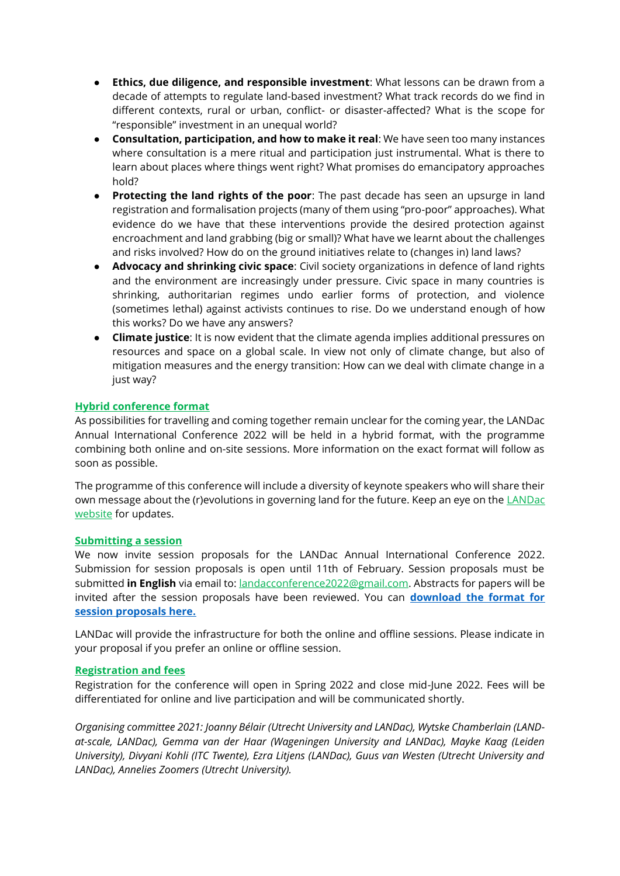- **Ethics, due diligence, and responsible investment**: What lessons can be drawn from a decade of attempts to regulate land-based investment? What track records do we find in different contexts, rural or urban, conflict- or disaster-affected? What is the scope for "responsible" investment in an unequal world?
- **Consultation, participation, and how to make it real**: We have seen too many instances where consultation is a mere ritual and participation just instrumental. What is there to learn about places where things went right? What promises do emancipatory approaches hold?
- **Protecting the land rights of the poor**: The past decade has seen an upsurge in land registration and formalisation projects (many of them using "pro-poor" approaches). What evidence do we have that these interventions provide the desired protection against encroachment and land grabbing (big or small)? What have we learnt about the challenges and risks involved? How do on the ground initiatives relate to (changes in) land laws?
- Advocacy and shrinking civic space: Civil society organizations in defence of land rights and the environment are increasingly under pressure. Civic space in many countries is shrinking, authoritarian regimes undo earlier forms of protection, and violence (sometimes lethal) against activists continues to rise. Do we understand enough of how this works? Do we have any answers?
- **Climate justice**: It is now evident that the climate agenda implies additional pressures on resources and space on a global scale. In view not only of climate change, but also of mitigation measures and the energy transition: How can we deal with climate change in a just way?

### **Hybrid conference format**

As possibilities for travelling and coming together remain unclear for the coming year, the LANDac Annual International Conference 2022 will be held in a hybrid format, with the programme combining both online and on-site sessions. More information on the exact format will follow as soon as possible.

The programme of this conference will include a diversity of keynote speakers who will share their own message about the (r)evolutions in governing land for the future. Keep an eye on the LANDac [website](https://www.landgovernance.org/) for updates.

#### **Submitting a session**

We now invite session proposals for the LANDac Annual International Conference 2022. Submission for session proposals is open until 11th of February. Session proposals must be submitted **in English** via email to[: landacconference2022@gmail.com.](mailto:landac2021@gmail.com) Abstracts for papers will be invited after the session proposals have been reviewed. You can **[download the format for](https://www.landgovernance.org/submission-form-call-for-sessions-landac-international-annual-conference-2022)  [session proposals here.](https://www.landgovernance.org/submission-form-call-for-sessions-landac-international-annual-conference-2022)**

LANDac will provide the infrastructure for both the online and offline sessions. Please indicate in your proposal if you prefer an online or offline session.

#### **Registration and fees**

Registration for the conference will open in Spring 2022 and close mid-June 2022. Fees will be differentiated for online and live participation and will be communicated shortly.

*Organising committee 2021: Joanny Bélair (Utrecht University and LANDac), Wytske Chamberlain (LANDat-scale, LANDac), Gemma van der Haar (Wageningen University and LANDac), Mayke Kaag (Leiden University), Divyani Kohli (ITC Twente), Ezra Litjens (LANDac), Guus van Westen (Utrecht University and LANDac), Annelies Zoomers (Utrecht University).*